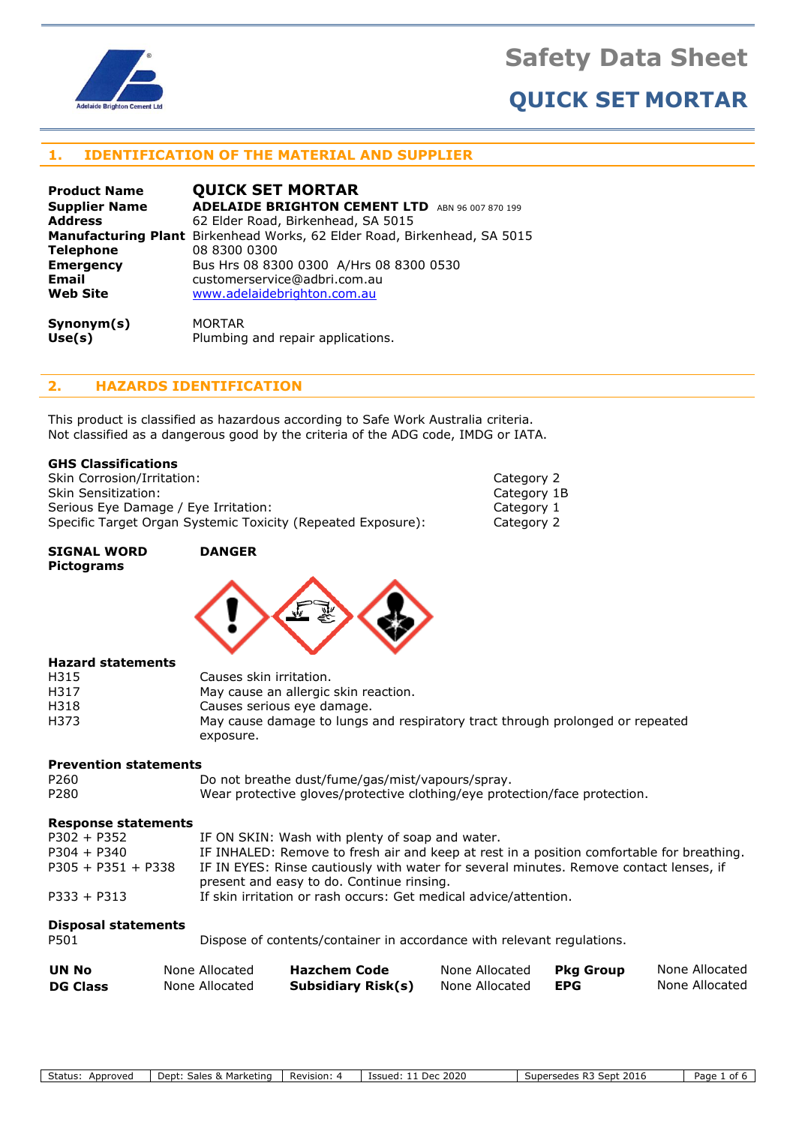# **Safety Data Sheet**



# **QUICK SET MORTAR**

# **1. IDENTIFICATION OF THE MATERIAL AND SUPPLIER**

| <b>Product Name</b>  | <b>QUICK SET MORTAR</b>                                                         |
|----------------------|---------------------------------------------------------------------------------|
| <b>Supplier Name</b> | <b>ADELAIDE BRIGHTON CEMENT LTD</b> ABN 96 007 870 199                          |
| <b>Address</b>       | 62 Elder Road, Birkenhead, SA 5015                                              |
|                      | <b>Manufacturing Plant</b> Birkenhead Works, 62 Elder Road, Birkenhead, SA 5015 |
| <b>Telephone</b>     | 08 8300 0300                                                                    |
| <b>Emergency</b>     | Bus Hrs 08 8300 0300 A/Hrs 08 8300 0530                                         |
| <b>Email</b>         | customerservice@adbri.com.au                                                    |
| <b>Web Site</b>      | www.adelaidebrighton.com.au                                                     |
| Symonym(s)           | <b>MORTAR</b>                                                                   |
| Use(s)               | Plumbing and repair applications.                                               |

# **2. HAZARDS IDENTIFICATION**

This product is classified as hazardous according to Safe Work Australia criteria. Not classified as a dangerous good by the criteria of the ADG code, IMDG or IATA.

## **GHS Classifications**

Skin Corrosion/Irritation: Skin Sensitization: Serious Eye Damage / Eye Irritation: Specific Target Organ Systemic Toxicity (Repeated Exposure):

| Category 2  |  |
|-------------|--|
| Category 1B |  |
| Category 1  |  |
| Category 2  |  |

### **SIGNAL WORD DANGER Pictograms**



### **Hazard statements**

| H315 | Causes skin irritation.                                                       |
|------|-------------------------------------------------------------------------------|
| H317 | May cause an allergic skin reaction.                                          |
| H318 | Causes serious eye damage.                                                    |
| H373 | May cause damage to lungs and respiratory tract through prolonged or repeated |
|      | exposure.                                                                     |

### **Prevention statements**

| P260 | Do not breathe dust/fume/gas/mist/vapours/spray.                           |
|------|----------------------------------------------------------------------------|
| P280 | Wear protective gloves/protective clothing/eye protection/face protection. |

### **Response statements**

| $P302 + P352$        | IF ON SKIN: Wash with plenty of soap and water.                                           |
|----------------------|-------------------------------------------------------------------------------------------|
| $P304 + P340$        | IF INHALED: Remove to fresh air and keep at rest in a position comfortable for breathing. |
| $P305 + P351 + P338$ | IF IN EYES: Rinse cautiously with water for several minutes. Remove contact lenses, if    |
|                      | present and easy to do. Continue rinsing.                                                 |
| $P333 + P313$        | If skin irritation or rash occurs: Get medical advice/attention.                          |

# **Disposal statements**

P501 Dispose of contents/container in accordance with relevant regulations.

| <b>UN No</b>    | None Allocated | <b>Hazchem Code</b>       | None Allocated | Pka Group | None Allocated |
|-----------------|----------------|---------------------------|----------------|-----------|----------------|
| <b>DG Class</b> | None Allocated | <b>Subsidiary Risk(s)</b> | None Allocated | EPG       | None Allocated |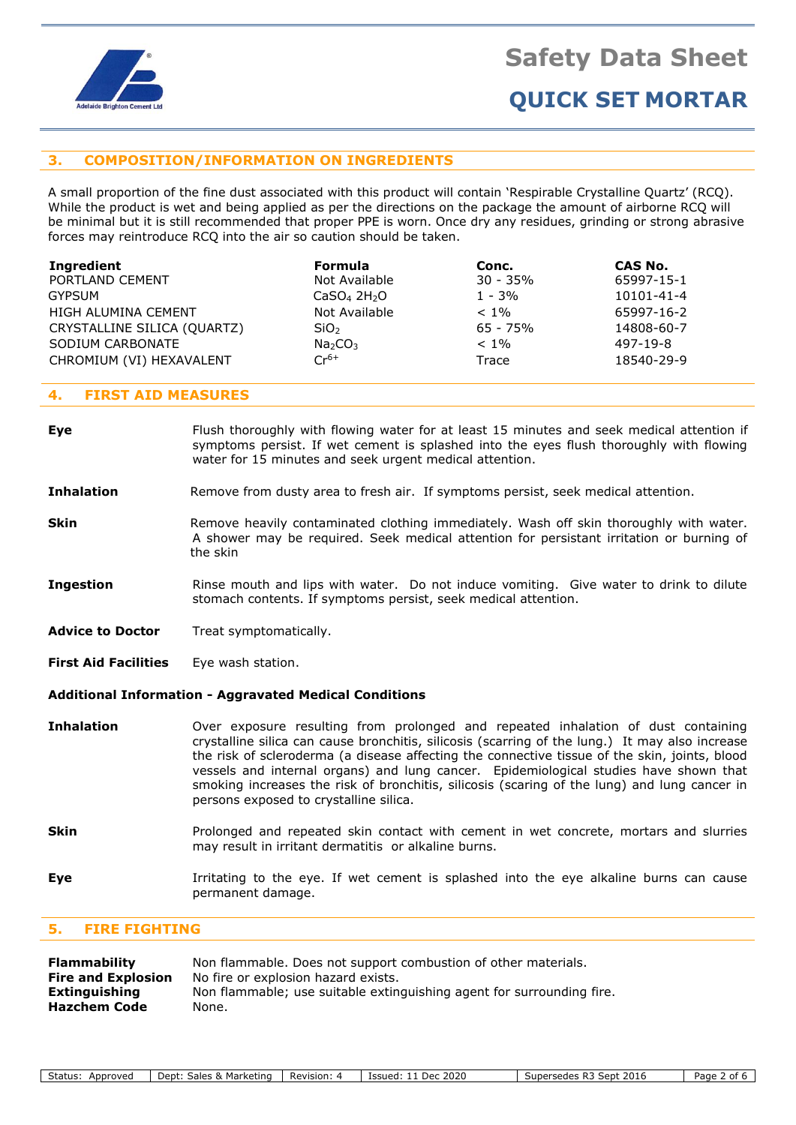

# **3. COMPOSITION/INFORMATION ON INGREDIENTS**

A small proportion of the fine dust associated with this product will contain 'Respirable Crystalline Quartz' (RCQ). While the product is wet and being applied as per the directions on the package the amount of airborne RCQ will be minimal but it is still recommended that proper PPE is worn. Once dry any residues, grinding or strong abrasive forces may reintroduce RCQ into the air so caution should be taken.

| Ingredient                  | <b>Formula</b>                      | Conc.      | CAS No.    |
|-----------------------------|-------------------------------------|------------|------------|
| PORTLAND CEMENT             | Not Available                       | $30 - 35%$ | 65997-15-1 |
| <b>GYPSUM</b>               | CaSO <sub>4</sub> 2H <sub>2</sub> O | $1 - 3\%$  | 10101-41-4 |
| HIGH ALUMINA CEMENT         | Not Available                       | $< 1\%$    | 65997-16-2 |
| CRYSTALLINE SILICA (QUARTZ) | SiO <sub>2</sub>                    | $65 - 75%$ | 14808-60-7 |
| SODIUM CARBONATE            | Na <sub>2</sub> CO <sub>3</sub>     | $< 1\%$    | 497-19-8   |
| CHROMIUM (VI) HEXAVALENT    | $Cr^{6+}$                           | Trace      | 18540-29-9 |

## **4. FIRST AID MEASURES**

- **Eye** Flush thoroughly with flowing water for at least 15 minutes and seek medical attention if symptoms persist. If wet cement is splashed into the eyes flush thoroughly with flowing water for 15 minutes and seek urgent medical attention.
- **Inhalation** Remove from dusty area to fresh air. If symptoms persist, seek medical attention.
- **Skin** Remove heavily contaminated clothing immediately. Wash off skin thoroughly with water. A shower may be required. Seek medical attention for persistant irritation or burning of the skin
- **Ingestion** Rinse mouth and lips with water. Do not induce vomiting. Give water to drink to dilute stomach contents. If symptoms persist, seek medical attention.
- Advice to Doctor Treat symptomatically.
- **First Aid Facilities** Eye wash station.

### **Additional Information - Aggravated Medical Conditions**

- **Inhalation** Over exposure resulting from prolonged and repeated inhalation of dust containing crystalline silica can cause bronchitis, silicosis (scarring of the lung.) It may also increase the risk of scleroderma (a disease affecting the connective tissue of the skin, joints, blood vessels and internal organs) and lung cancer. Epidemiological studies have shown that smoking increases the risk of bronchitis, silicosis (scaring of the lung) and lung cancer in persons exposed to crystalline silica.
- **Skin** Prolonged and repeated skin contact with cement in wet concrete, mortars and slurries may result in irritant dermatitis or alkaline burns.
- **Eye I**rritating to the eye. If wet cement is splashed into the eye alkaline burns can cause permanent damage.

## **5. FIRE FIGHTING**

| <b>Flammability</b>       | Non flammable. Does not support combustion of other materials.        |
|---------------------------|-----------------------------------------------------------------------|
| <b>Fire and Explosion</b> | No fire or explosion hazard exists.                                   |
| Extinguishing             | Non flammable; use suitable extinguishing agent for surrounding fire. |
| <b>Hazchem Code</b>       | None.                                                                 |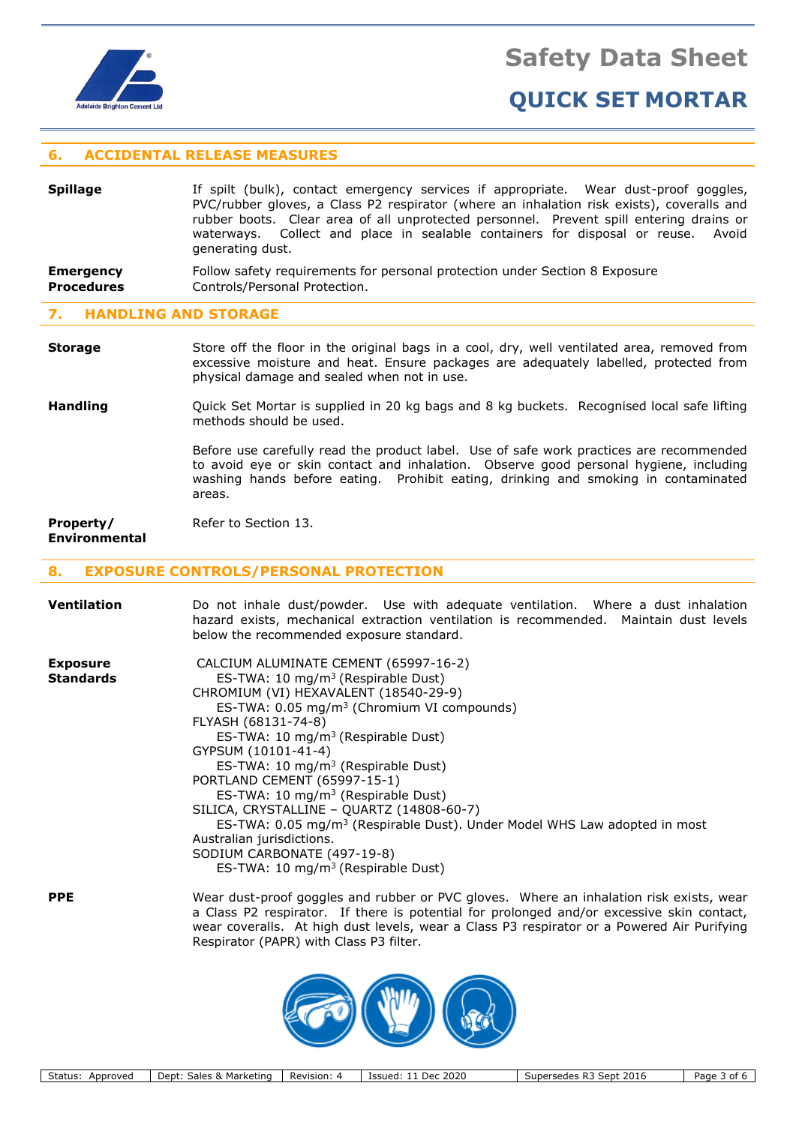

**Safety Data Sheet**

# **QUICK SET MORTAR**

# **6. ACCIDENTAL RELEASE MEASURES**

| <b>Spillage</b>   | If spilt (bulk), contact emergency services if appropriate. Wear dust-proof goggles,<br>PVC/rubber gloves, a Class P2 respirator (where an inhalation risk exists), coveralls and<br>rubber boots. Clear area of all unprotected personnel. Prevent spill entering drains or<br>waterways. Collect and place in sealable containers for disposal or reuse. Avoid<br>generating dust. |
|-------------------|--------------------------------------------------------------------------------------------------------------------------------------------------------------------------------------------------------------------------------------------------------------------------------------------------------------------------------------------------------------------------------------|
| <b>Emergency</b>  | Follow safety requirements for personal protection under Section 8 Exposure                                                                                                                                                                                                                                                                                                          |
| <b>Procedures</b> | Controls/Personal Protection.                                                                                                                                                                                                                                                                                                                                                        |

## **7. HANDLING AND STORAGE**

**Storage** Store off the floor in the original bags in a cool, dry, well ventilated area, removed from excessive moisture and heat. Ensure packages are adequately labelled, protected from physical damage and sealed when not in use.

**Handling** Quick Set Mortar is supplied in 20 kg bags and 8 kg buckets. Recognised local safe lifting methods should be used.

> Before use carefully read the product label. Use of safe work practices are recommended to avoid eye or skin contact and inhalation. Observe good personal hygiene, including washing hands before eating. Prohibit eating, drinking and smoking in contaminated areas.

**Property/** Refer to Section 13. **Environmental**

## **8. EXPOSURE CONTROLS/PERSONAL PROTECTION**

| <b>Ventilation</b>                  | Do not inhale dust/powder. Use with adequate ventilation. Where a dust inhalation<br>hazard exists, mechanical extraction ventilation is recommended. Maintain dust levels<br>below the recommended exposure standard.                                                                                                                                                                                                                                                                                                                                                                                                                                                             |
|-------------------------------------|------------------------------------------------------------------------------------------------------------------------------------------------------------------------------------------------------------------------------------------------------------------------------------------------------------------------------------------------------------------------------------------------------------------------------------------------------------------------------------------------------------------------------------------------------------------------------------------------------------------------------------------------------------------------------------|
| <b>Exposure</b><br><b>Standards</b> | CALCIUM ALUMINATE CEMENT (65997-16-2)<br>ES-TWA: 10 mg/m <sup>3</sup> (Respirable Dust)<br>CHROMIUM (VI) HEXAVALENT (18540-29-9)<br>ES-TWA: 0.05 mg/m <sup>3</sup> (Chromium VI compounds)<br>FLYASH (68131-74-8)<br>ES-TWA: 10 mg/m <sup>3</sup> (Respirable Dust)<br>GYPSUM (10101-41-4)<br>ES-TWA: 10 mg/m <sup>3</sup> (Respirable Dust)<br>PORTLAND CEMENT (65997-15-1)<br>ES-TWA: 10 mg/m <sup>3</sup> (Respirable Dust)<br>SILICA, CRYSTALLINE - QUARTZ (14808-60-7)<br>ES-TWA: 0.05 mg/m <sup>3</sup> (Respirable Dust). Under Model WHS Law adopted in most<br>Australian jurisdictions.<br>SODIUM CARBONATE (497-19-8)<br>ES-TWA: 10 mg/m <sup>3</sup> (Respirable Dust) |
| <b>PPE</b>                          | Wear dust-proof goggles and rubber or PVC gloves. Where an inhalation risk exists, wear                                                                                                                                                                                                                                                                                                                                                                                                                                                                                                                                                                                            |

a Class P2 respirator. If there is potential for prolonged and/or excessive skin contact, wear coveralls. At high dust levels, wear a Class P3 respirator or a Powered Air Purifying Respirator (PAPR) with Class P3 filter.

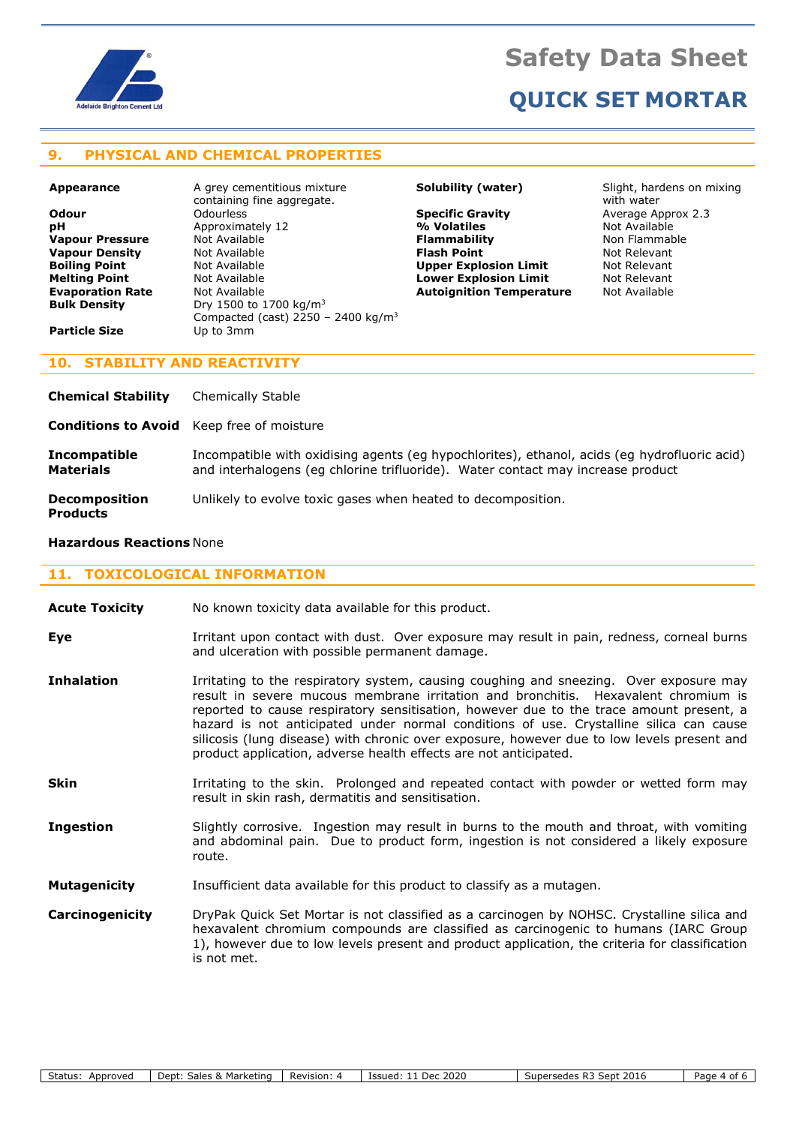

# **9. PHYSICAL AND CHEMICAL PROPERTIES**

**Particle Size** 

**Appearance A** grey cementitious mixture containing fine aggregate. **Odour** Odourless **Specific Gravity** Average Approx 2.3 **pH** Approximately 12 **12 Approximately 12 12 Approximately 12** And Available **Vapour Pressure** Not Available **Vapour Pressure** Not Available **Vapour Pressure** Mot Available **Flammability of Available Constructs Flammability**<br> **Flash Point** Not Available **Non-Flammability Constructs Vapour Density Not Available <b>Flash Point Flash Point** Not Relevant **Boiling Point Not Available 1996 Upper Explosion Limit** Mot Relevant **Not Available 1997 Upper Explosion Limit** Not Relevant **Not Available 1997 Upper Explosion Limit** Not Relevant **Melting Point Not Available <b>Lower Explosion Limit Lower Explosion Limit Evaporation Rate** Mot Available **Autoignition Temperature** Not Available **Bulk Density Construct Construct Available Bulk Density** Dry 1500 to 1700 kg/m<sup>3</sup> Compacted (cast)  $2250 - 2400$  kg/m<sup>3</sup><br>Up to 3mm

**Solubility (water)** Slight, hardens on mixing with water

# **10. STABILITY AND REACTIVITY**

| <b>Chemical Stability</b>                        | Chemically Stable                                                                                                                                                               |
|--------------------------------------------------|---------------------------------------------------------------------------------------------------------------------------------------------------------------------------------|
| <b>Conditions to Avoid</b> Keep free of moisture |                                                                                                                                                                                 |
| <b>Incompatible</b><br><b>Materials</b>          | Incompatible with oxidising agents (eg hypochlorites), ethanol, acids (eg hydrofluoric acid)<br>and interhalogens (eq chlorine trifluoride). Water contact may increase product |
| <b>Decomposition</b><br><b>Products</b>          | Unlikely to evolve toxic gases when heated to decomposition.                                                                                                                    |

### **Hazardous Reactions** None

### **11. TOXICOLOGICAL INFORMATION**

- **Acute Toxicity** No known toxicity data available for this product.
- **Eye I**rritant upon contact with dust. Over exposure may result in pain, redness, corneal burns and ulceration with possible permanent damage.
- Inhalation **Interact Interprete is a Irritating to the respiratory system, causing coughing and sneezing. Over exposure may** result in severe mucous membrane irritation and bronchitis. Hexavalent chromium is reported to cause respiratory sensitisation, however due to the trace amount present, a hazard is not anticipated under normal conditions of use. Crystalline silica can cause silicosis (lung disease) with chronic over exposure, however due to low levels present and product application, adverse health effects are not anticipated.
- **Skin I**rritating to the skin. Prolonged and repeated contact with powder or wetted form may result in skin rash, dermatitis and sensitisation.
- **Ingestion** Slightly corrosive. Ingestion may result in burns to the mouth and throat, with vomiting and abdominal pain. Due to product form, ingestion is not considered a likely exposure route.
- **Mutagenicity** Insufficient data available for this product to classify as a mutagen.
- **Carcinogenicity** DryPak Quick Set Mortar is not classified as a carcinogen by NOHSC. Crystalline silica and hexavalent chromium compounds are classified as carcinogenic to humans (IARC Group 1), however due to low levels present and product application, the criteria for classification is not met.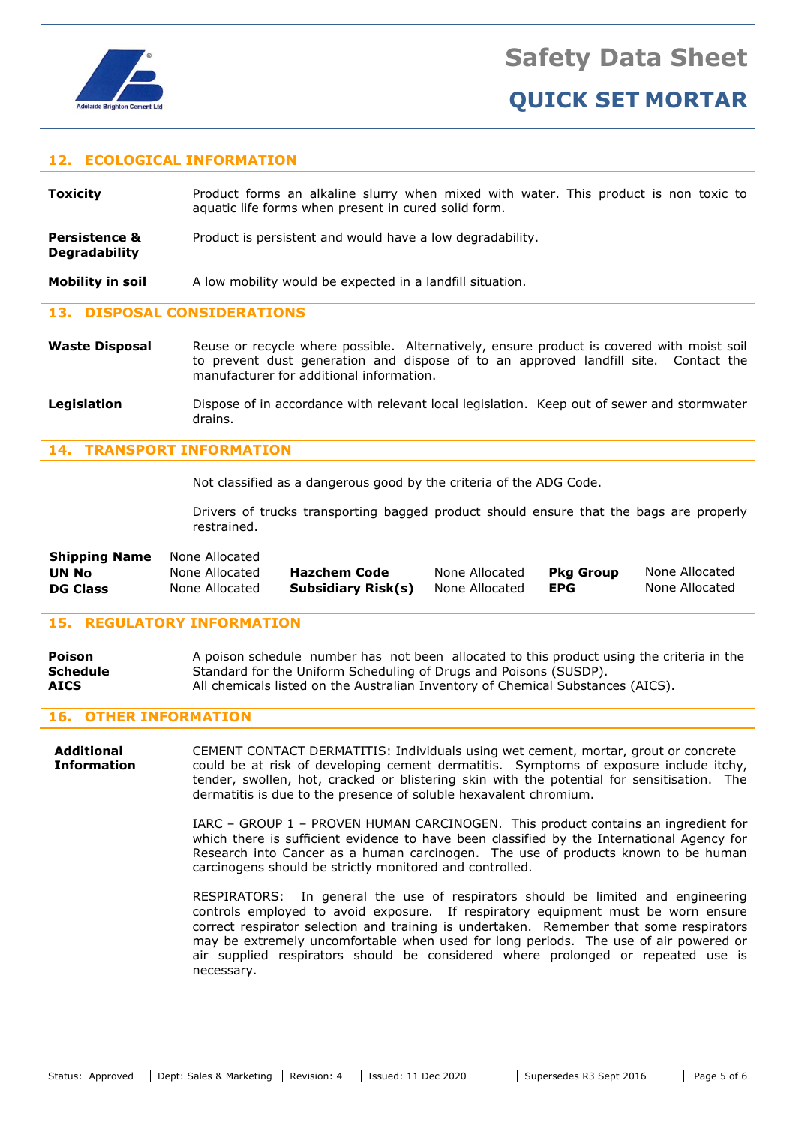

**Degradability**

# **Safety Data Sheet**

# **QUICK SET MORTAR**

# **12. ECOLOGICAL INFORMATION**

**Toxicity Product forms an alkaline slurry when mixed with water. This product is non toxic to** aquatic life forms when present in cured solid form.

**Persistence &** Product is persistent and would have a low degradability.

**Mobility in soil** A low mobility would be expected in a landfill situation.

### **13. DISPOSAL CONSIDERATIONS**

**Waste Disposal** Reuse or recycle where possible. Alternatively, ensure product is covered with moist soil to prevent dust generation and dispose of to an approved landfill site. Contact the manufacturer for additional information.

**Legislation** Dispose of in accordance with relevant local legislation. Keep out of sewer and stormwater drains.

# **14. TRANSPORT INFORMATION**

Not classified as a dangerous good by the criteria of the ADG Code.

Drivers of trucks transporting bagged product should ensure that the bags are properly restrained.

| <b>Shipping Name</b> | None Allocated |                           |                |            |                |
|----------------------|----------------|---------------------------|----------------|------------|----------------|
| UN No                | None Allocated | <b>Hazchem Code</b>       | None Allocated | Pka Group  | None Allocated |
| <b>DG Class</b>      | None Allocated | <b>Subsidiary Risk(s)</b> | None Allocated | <b>EPG</b> | None Allocated |

# **15. REGULATORY INFORMATION**

**Poison** A poison schedule number has not been allocated to this product using the criteria in the **Schedule** Standard for the Uniform Scheduling of Drugs and Poisons (SUSDP). **AICS** All chemicals listed on the Australian Inventory of Chemical Substances (AICS).

### **16. OTHER INFORMATION**

**Additional** CEMENT CONTACT DERMATITIS: Individuals using wet cement, mortar, grout or concrete **Information** could be at risk of developing cement dermatitis. Symptoms of exposure include itchy, tender, swollen, hot, cracked or blistering skin with the potential for sensitisation. The dermatitis is due to the presence of soluble hexavalent chromium.

> IARC – GROUP 1 – PROVEN HUMAN CARCINOGEN. This product contains an ingredient for which there is sufficient evidence to have been classified by the International Agency for Research into Cancer as a human carcinogen. The use of products known to be human carcinogens should be strictly monitored and controlled.

> RESPIRATORS: In general the use of respirators should be limited and engineering controls employed to avoid exposure. If respiratory equipment must be worn ensure correct respirator selection and training is undertaken. Remember that some respirators may be extremely uncomfortable when used for long periods. The use of air powered or air supplied respirators should be considered where prolonged or repeated use is necessary.